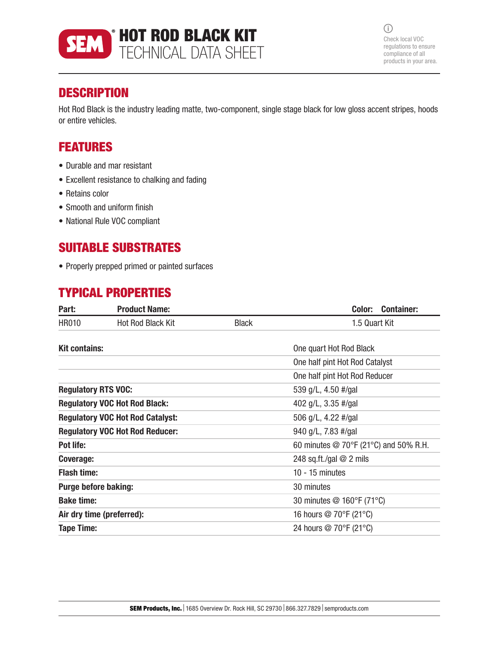

 $\odot$ Check local VOC regulations to ensure compliance of all products in your area.

## **DESCRIPTION**

Hot Rod Black is the industry leading matte, two-component, single stage black for low gloss accent stripes, hoods or entire vehicles.

## FEATURES

- Durable and mar resistant
- Excellent resistance to chalking and fading
- Retains color
- Smooth and uniform finish
- National Rule VOC compliant

## SUITABLE SUBSTRATES

• Properly prepped primed or painted surfaces

## TYPICAL PROPERTIES

| Part:                                   | <b>Product Name:</b>     |                           | Color:<br><b>Container:</b>                           |
|-----------------------------------------|--------------------------|---------------------------|-------------------------------------------------------|
| <b>HR010</b>                            | <b>Hot Rod Black Kit</b> | <b>Black</b>              | 1.5 Quart Kit                                         |
| <b>Kit contains:</b>                    |                          |                           | One quart Hot Rod Black                               |
|                                         |                          |                           | One half pint Hot Rod Catalyst                        |
|                                         |                          |                           | One half pint Hot Rod Reducer                         |
| <b>Regulatory RTS VOC:</b>              |                          |                           | 539 g/L, 4.50 #/gal                                   |
| <b>Regulatory VOC Hot Rod Black:</b>    |                          |                           | 402 g/L, 3.35 #/gal                                   |
| <b>Regulatory VOC Hot Rod Catalyst:</b> |                          |                           | 506 g/L, 4.22 #/gal                                   |
| <b>Regulatory VOC Hot Rod Reducer:</b>  |                          |                           | 940 g/L, 7.83 #/gal                                   |
| Pot life:                               |                          |                           | 60 minutes $\textcircled{2}$ 70°F (21°C) and 50% R.H. |
| Coverage:                               |                          |                           | 248 sq.ft./gal $@$ 2 mils                             |
| <b>Flash time:</b>                      |                          | $10 - 15$ minutes         |                                                       |
| <b>Purge before baking:</b>             |                          | 30 minutes                |                                                       |
| <b>Bake time:</b>                       |                          | 30 minutes @ 160°F (71°C) |                                                       |
| Air dry time (preferred):               |                          | 16 hours @ 70°F (21°C)    |                                                       |
| <b>Tape Time:</b>                       |                          |                           | 24 hours @ 70°F (21°C)                                |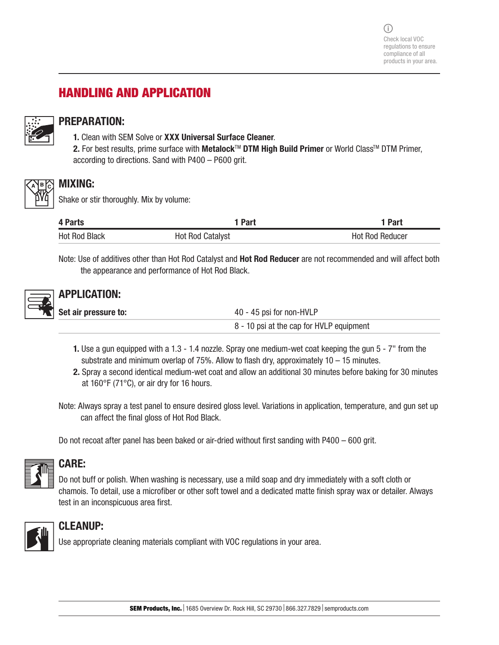# HANDLING AND APPLICATION



#### PREPARATION:

- 1. Clean with SEM Solve or XXX Universal Surface Cleaner.
- 2. For best results, prime surface with Metalock™ DTM High Build Primer or World Class™ DTM Primer, according to directions. Sand with P400 – P600 grit.



#### MIXING:

Shake or stir thoroughly. Mix by volume:

| 4 Parts              | 1 Part                  | 1 Part                 |
|----------------------|-------------------------|------------------------|
| <b>Hot Rod Black</b> | <b>Hot Rod Catalyst</b> | <b>Hot Rod Reducer</b> |

Note: Use of additives other than Hot Rod Catalyst and Hot Rod Reducer are not recommended and will affect both the appearance and performance of Hot Rod Black.



### APPLICATION:

| Set air pressure to: | 40 - 45 psi for non-HVLP                 |  |
|----------------------|------------------------------------------|--|
|                      | 8 - 10 psi at the cap for HVLP equipment |  |

- 1. Use a gun equipped with a 1.3 1.4 nozzle. Spray one medium-wet coat keeping the gun 5 7" from the substrate and minimum overlap of 75%. Allow to flash dry, approximately  $10 - 15$  minutes.
- 2. Spray a second identical medium-wet coat and allow an additional 30 minutes before baking for 30 minutes at 160°F (71°C), or air dry for 16 hours.
- Note: Always spray a test panel to ensure desired gloss level. Variations in application, temperature, and gun set up can affect the final gloss of Hot Rod Black.

Do not recoat after panel has been baked or air-dried without first sanding with P400 – 600 grit.



#### CARE:

Do not buff or polish. When washing is necessary, use a mild soap and dry immediately with a soft cloth or chamois. To detail, use a microfiber or other soft towel and a dedicated matte finish spray wax or detailer. Always test in an inconspicuous area first.



#### CLEANUP:

Use appropriate cleaning materials compliant with VOC regulations in your area.